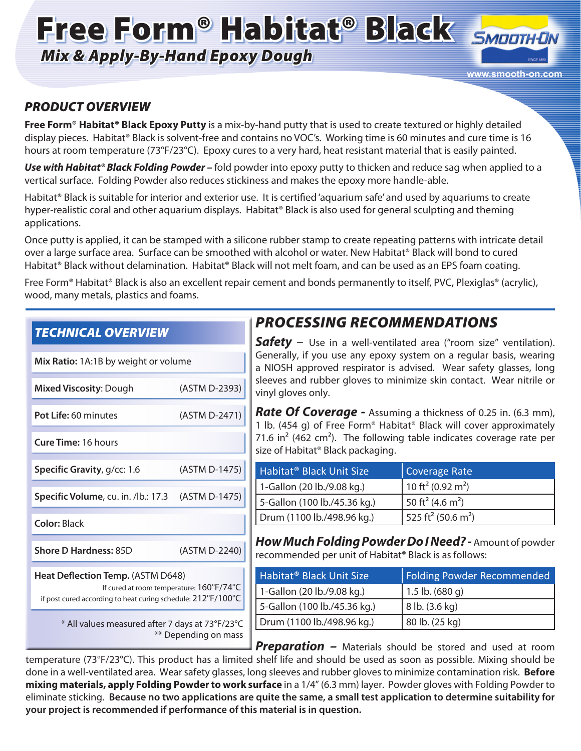# Free Form® Habitat® Black SMOOTHON

*Mix & Apply-By-Hand Epoxy Dough*



#### *PRODUCT OVERVIEW*

**Free Form® Habitat® Black Epoxy Putty** is a mix-by-hand putty that is used to create textured or highly detailed display pieces. Habitat® Black is solvent-free and contains no VOC's. Working time is 60 minutes and cure time is 16 hours at room temperature (73°F/23°C). Epoxy cures to a very hard, heat resistant material that is easily painted.

*Use with Habitat® Black Folding Powder –* fold powder into epoxy putty to thicken and reduce sag when applied to a vertical surface. Folding Powder also reduces stickiness and makes the epoxy more handle-able.

Habitat® Black is suitable for interior and exterior use. It is certified 'aquarium safe' and used by aquariums to create hyper-realistic coral and other aquarium displays. Habitat® Black is also used for general sculpting and theming applications.

Once putty is applied, it can be stamped with a silicone rubber stamp to create repeating patterns with intricate detail over a large surface area. Surface can be smoothed with alcohol or water. New Habitat® Black will bond to cured Habitat® Black without delamination. Habitat® Black will not melt foam, and can be used as an EPS foam coating.

Free Form® Habitat® Black is also an excellent repair cement and bonds permanently to itself, PVC, Plexiglas® (acrylic), wood, many metals, plastics and foams.

| <b>TECHNICAL OVERVIEW</b>                                                                                                                     |               |  |
|-----------------------------------------------------------------------------------------------------------------------------------------------|---------------|--|
| Mix Ratio: 1A:1B by weight or volume                                                                                                          |               |  |
| <b>Mixed Viscosity: Dough</b>                                                                                                                 | (ASTM D-2393) |  |
| Pot Life: 60 minutes                                                                                                                          | (ASTM D-2471) |  |
| <b>Cure Time: 16 hours</b>                                                                                                                    |               |  |
| Specific Gravity, g/cc: 1.6                                                                                                                   | (ASTM D-1475) |  |
| Specific Volume, cu. in. /lb.: 17.3                                                                                                           | (ASTM D-1475) |  |
| <b>Color: Black</b>                                                                                                                           |               |  |
| <b>Shore D Hardness: 85D</b>                                                                                                                  | (ASTM D-2240) |  |
| Heat Deflection Temp. (ASTM D648)<br>If cured at room temperature: 160°F/74°C<br>if post cured according to heat curing schedule: 212°F/100°C |               |  |
| * All values measured after 7 days at 73°F/23°C<br>** Depending on mass                                                                       |               |  |

# *PROCESSING RECOMMENDATIONS*

*Safety* – Use in a well-ventilated area ("room size" ventilation). Generally, if you use any epoxy system on a regular basis, wearing a NIOSH approved respirator is advised. Wear safety glasses, long sleeves and rubber gloves to minimize skin contact. Wear nitrile or vinyl gloves only.

*Rate Of Coverage -* Assuming a thickness of 0.25 in. (6.3 mm), 1 lb. (454 g) of Free Form® Habitat® Black will cover approximately 71.6 in<sup>2</sup> (462 cm<sup>2</sup>). The following table indicates coverage rate per size of Habitat® Black packaging.

| Habitat <sup>®</sup> Black Unit Size | Coverage Rate                              |
|--------------------------------------|--------------------------------------------|
| 1-Gallon (20 lb./9.08 kg.)           | 10 ft <sup>2</sup> (0.92 m <sup>2</sup> )  |
| 5-Gallon (100 lb./45.36 kg.)         | 50 ft <sup>2</sup> (4.6 m <sup>2</sup> )   |
| Drum (1100 lb./498.96 kg.)           | 525 ft <sup>2</sup> (50.6 m <sup>2</sup> ) |

*How Much Folding Powder Do I Need? -* Amount of powder recommended per unit of Habitat® Black is as follows:

| Habitat <sup>®</sup> Black Unit Size | Folding Powder Recommended |
|--------------------------------------|----------------------------|
| 1-Gallon (20 lb./9.08 kg.)           | 1.5 lb. $(680q)$           |
| 5-Gallon (100 lb./45.36 kg.)         | 8 lb. (3.6 kg)             |
| Drum (1100 lb./498.96 kg.)           | 80 lb. (25 kg)             |
|                                      |                            |

**Preparation –** Materials should be stored and used at room temperature (73°F/23°C). This product has a limited shelf life and should be used as soon as possible. Mixing should be done in a well-ventilated area. Wear safety glasses, long sleeves and rubber gloves to minimize contamination risk. **Before mixing materials, apply Folding Powder to work surface** in a 1/4" (6.3 mm) layer. Powder gloves with Folding Powder to eliminate sticking. **Because no two applications are quite the same, a small test application to determine suitability for your project is recommended if performance of this material is in question.**